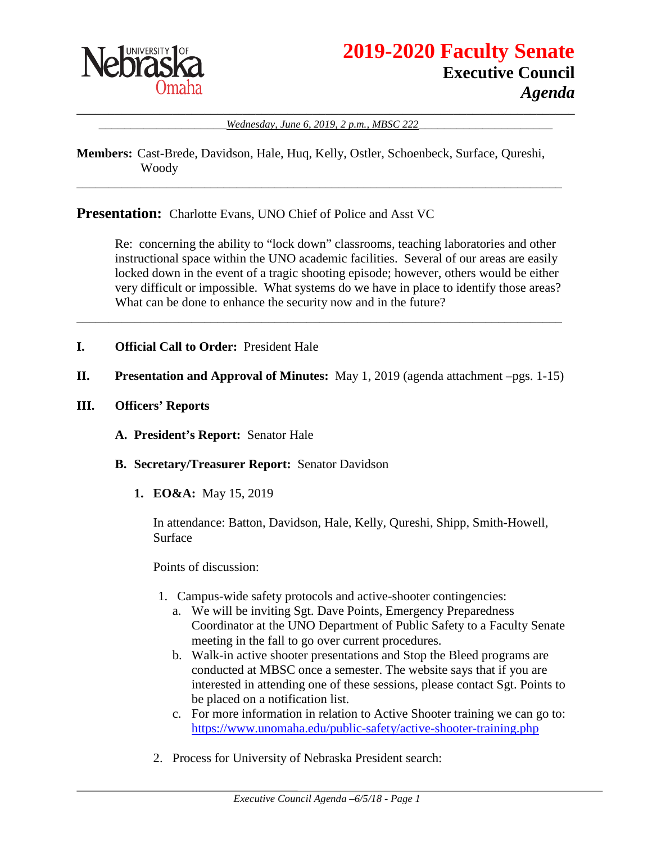

\_\_\_\_\_\_\_\_\_\_\_\_\_\_\_\_\_\_\_\_\_\_\_\_\_\_\_\_\_\_\_\_\_\_\_\_\_\_\_\_\_\_\_\_\_\_\_\_\_\_\_\_\_\_\_\_\_\_\_\_\_\_\_\_\_\_\_\_\_\_\_\_\_\_\_\_\_\_ Wednesday, June 6, 2019, 2 p.m., MBSC 222

**Members:** Cast-Brede, Davidson, Hale, Huq, Kelly, Ostler, Schoenbeck, Surface, Qureshi, Woody

\_\_\_\_\_\_\_\_\_\_\_\_\_\_\_\_\_\_\_\_\_\_\_\_\_\_\_\_\_\_\_\_\_\_\_\_\_\_\_\_\_\_\_\_\_\_\_\_\_\_\_\_\_\_\_\_\_\_\_\_\_\_\_\_\_\_\_\_\_\_\_\_\_\_\_\_

**Presentation:** Charlotte Evans, UNO Chief of Police and Asst VC

Re: concerning the ability to "lock down" classrooms, teaching laboratories and other instructional space within the UNO academic facilities. Several of our areas are easily locked down in the event of a tragic shooting episode; however, others would be either very difficult or impossible. What systems do we have in place to identify those areas? What can be done to enhance the security now and in the future?

- **I. Official Call to Order:** President Hale
- **II. Presentation and Approval of Minutes:** May 1, 2019 (agenda attachment –pgs. 1-15)

\_\_\_\_\_\_\_\_\_\_\_\_\_\_\_\_\_\_\_\_\_\_\_\_\_\_\_\_\_\_\_\_\_\_\_\_\_\_\_\_\_\_\_\_\_\_\_\_\_\_\_\_\_\_\_\_\_\_\_\_\_\_\_\_\_\_\_\_\_\_\_\_\_\_\_\_

- **III. Officers' Reports**
	- **A. President's Report:** Senator Hale
	- **B. Secretary/Treasurer Report:** Senator Davidson
		- **1. EO&A:** May 15, 2019

In attendance: Batton, Davidson, Hale, Kelly, Qureshi, Shipp, Smith-Howell, Surface

Points of discussion:

- 1. Campus-wide safety protocols and active-shooter contingencies:
	- a. We will be inviting Sgt. Dave Points, Emergency Preparedness Coordinator at the UNO Department of Public Safety to a Faculty Senate meeting in the fall to go over current procedures.
	- b. Walk-in active shooter presentations and Stop the Bleed programs are conducted at MBSC once a semester. The website says that if you are interested in attending one of these sessions, please contact Sgt. Points to be placed on a notification list.
	- c. For more information in relation to Active Shooter training we can go to: <https://www.unomaha.edu/public-safety/active-shooter-training.php>
- 2. Process for University of Nebraska President search: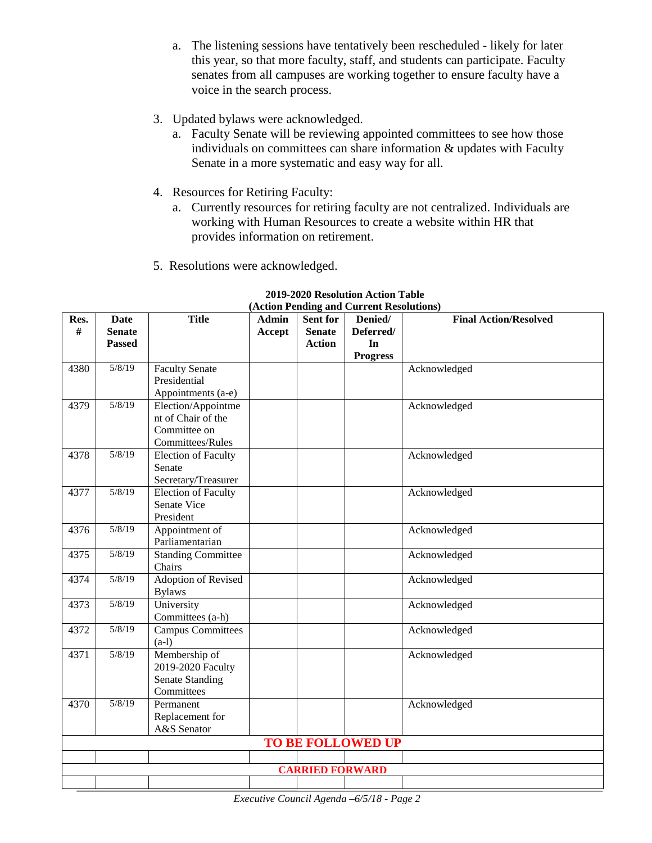- a. The listening sessions have tentatively been rescheduled likely for later this year, so that more faculty, staff, and students can participate. Faculty senates from all campuses are working together to ensure faculty have a voice in the search process.
- 3. Updated bylaws were acknowledged.
	- a. Faculty Senate will be reviewing appointed committees to see how those individuals on committees can share information & updates with Faculty Senate in a more systematic and easy way for all.
- 4. Resources for Retiring Faculty:
	- a. Currently resources for retiring faculty are not centralized. Individuals are working with Human Resources to create a website within HR that provides information on retirement.
- 5. Resolutions were acknowledged.

| Res. | Date                   | <b>Title</b>               | Admin  | Sent for      | $(A\text{cuchm I enning and C\text{uHein Resolution})$<br>Denied/ | <b>Final Action/Resolved</b> |
|------|------------------------|----------------------------|--------|---------------|-------------------------------------------------------------------|------------------------------|
| #    | <b>Senate</b>          |                            | Accept | <b>Senate</b> | Deferred/                                                         |                              |
|      |                        |                            |        | <b>Action</b> | In                                                                |                              |
|      | <b>Passed</b>          |                            |        |               |                                                                   |                              |
|      |                        |                            |        |               | <b>Progress</b>                                                   |                              |
| 4380 | 5/8/19                 | <b>Faculty Senate</b>      |        |               |                                                                   | Acknowledged                 |
|      |                        | Presidential               |        |               |                                                                   |                              |
|      |                        | Appointments (a-e)         |        |               |                                                                   |                              |
| 4379 | 5/8/19                 | Election/Appointme         |        |               |                                                                   | Acknowledged                 |
|      |                        | nt of Chair of the         |        |               |                                                                   |                              |
|      |                        | Committee on               |        |               |                                                                   |                              |
|      |                        | Committees/Rules           |        |               |                                                                   |                              |
| 4378 | 5/8/19                 | <b>Election of Faculty</b> |        |               |                                                                   | Acknowledged                 |
|      |                        | Senate                     |        |               |                                                                   |                              |
|      |                        | Secretary/Treasurer        |        |               |                                                                   |                              |
| 4377 | 5/8/19                 | Election of Faculty        |        |               |                                                                   | Acknowledged                 |
|      |                        | Senate Vice                |        |               |                                                                   |                              |
|      |                        | President                  |        |               |                                                                   |                              |
| 4376 | 5/8/19                 | Appointment of             |        |               |                                                                   | Acknowledged                 |
|      |                        | Parliamentarian            |        |               |                                                                   |                              |
| 4375 | 5/8/19                 | <b>Standing Committee</b>  |        |               |                                                                   | Acknowledged                 |
|      |                        | Chairs                     |        |               |                                                                   |                              |
| 4374 | 5/8/19                 | <b>Adoption of Revised</b> |        |               |                                                                   | Acknowledged                 |
|      |                        | <b>Bylaws</b>              |        |               |                                                                   |                              |
| 4373 | 5/8/19                 | University                 |        |               |                                                                   | Acknowledged                 |
|      |                        | Committees (a-h)           |        |               |                                                                   |                              |
| 4372 | 5/8/19                 | <b>Campus Committees</b>   |        |               |                                                                   | Acknowledged                 |
|      |                        | $(a-1)$                    |        |               |                                                                   |                              |
| 4371 | 5/8/19                 | Membership of              |        |               |                                                                   | Acknowledged                 |
|      |                        | 2019-2020 Faculty          |        |               |                                                                   |                              |
|      |                        | <b>Senate Standing</b>     |        |               |                                                                   |                              |
|      |                        | Committees                 |        |               |                                                                   |                              |
| 4370 | 5/8/19                 | Permanent                  |        |               |                                                                   | Acknowledged                 |
|      |                        | Replacement for            |        |               |                                                                   |                              |
|      |                        | A&S Senator                |        |               |                                                                   |                              |
|      |                        |                            |        |               | <b>TO BE FOLLOWED UP</b>                                          |                              |
|      |                        |                            |        |               |                                                                   |                              |
|      | <b>CARRIED FORWARD</b> |                            |        |               |                                                                   |                              |
|      |                        |                            |        |               |                                                                   |                              |

#### **2019-2020 Resolution Action Table (Action Pending and Current Resolutions)**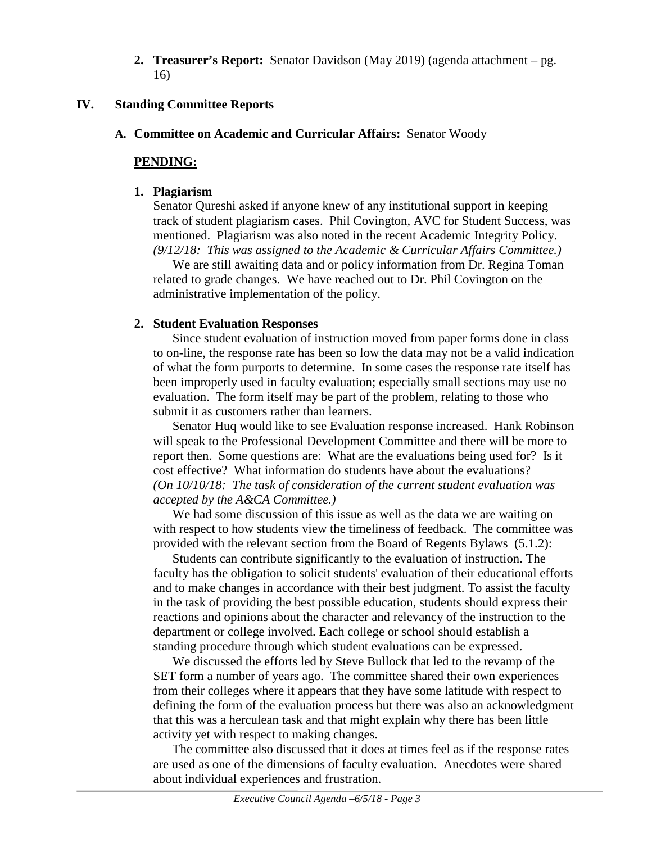**2. Treasurer's Report:** Senator Davidson (May 2019) (agenda attachment – pg. 16)

#### **IV. Standing Committee Reports**

### **A. Committee on Academic and Curricular Affairs:** Senator Woody

### **PENDING:**

#### **1. Plagiarism**

Senator Qureshi asked if anyone knew of any institutional support in keeping track of student plagiarism cases. Phil Covington, AVC for Student Success, was mentioned. Plagiarism was also noted in the recent Academic Integrity Policy. *(9/12/18: This was assigned to the Academic & Curricular Affairs Committee.)* 

We are still awaiting data and or policy information from Dr. Regina Toman related to grade changes. We have reached out to Dr. Phil Covington on the administrative implementation of the policy.

## **2. Student Evaluation Responses**

Since student evaluation of instruction moved from paper forms done in class to on-line, the response rate has been so low the data may not be a valid indication of what the form purports to determine. In some cases the response rate itself has been improperly used in faculty evaluation; especially small sections may use no evaluation. The form itself may be part of the problem, relating to those who submit it as customers rather than learners.

Senator Huq would like to see Evaluation response increased. Hank Robinson will speak to the Professional Development Committee and there will be more to report then. Some questions are: What are the evaluations being used for? Is it cost effective? What information do students have about the evaluations? *(On 10/10/18: The task of consideration of the current student evaluation was accepted by the A&CA Committee.)*

We had some discussion of this issue as well as the data we are waiting on with respect to how students view the timeliness of feedback. The committee was provided with the relevant section from the Board of Regents Bylaws (5.1.2):

Students can contribute significantly to the evaluation of instruction. The faculty has the obligation to solicit students' evaluation of their educational efforts and to make changes in accordance with their best judgment. To assist the faculty in the task of providing the best possible education, students should express their reactions and opinions about the character and relevancy of the instruction to the department or college involved. Each college or school should establish a standing procedure through which student evaluations can be expressed.

We discussed the efforts led by Steve Bullock that led to the revamp of the SET form a number of years ago. The committee shared their own experiences from their colleges where it appears that they have some latitude with respect to defining the form of the evaluation process but there was also an acknowledgment that this was a herculean task and that might explain why there has been little activity yet with respect to making changes.

The committee also discussed that it does at times feel as if the response rates are used as one of the dimensions of faculty evaluation. Anecdotes were shared about individual experiences and frustration.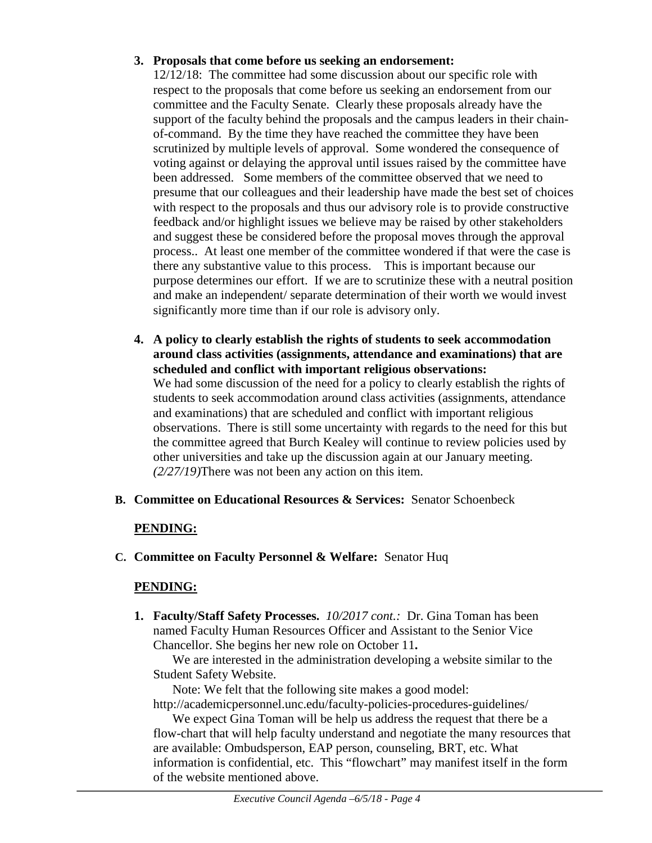# **3. Proposals that come before us seeking an endorsement:**

12/12/18: The committee had some discussion about our specific role with respect to the proposals that come before us seeking an endorsement from our committee and the Faculty Senate. Clearly these proposals already have the support of the faculty behind the proposals and the campus leaders in their chainof-command. By the time they have reached the committee they have been scrutinized by multiple levels of approval. Some wondered the consequence of voting against or delaying the approval until issues raised by the committee have been addressed. Some members of the committee observed that we need to presume that our colleagues and their leadership have made the best set of choices with respect to the proposals and thus our advisory role is to provide constructive feedback and/or highlight issues we believe may be raised by other stakeholders and suggest these be considered before the proposal moves through the approval process.. At least one member of the committee wondered if that were the case is there any substantive value to this process. This is important because our purpose determines our effort. If we are to scrutinize these with a neutral position and make an independent/ separate determination of their worth we would invest significantly more time than if our role is advisory only.

- **4. A policy to clearly establish the rights of students to seek accommodation around class activities (assignments, attendance and examinations) that are scheduled and conflict with important religious observations:** We had some discussion of the need for a policy to clearly establish the rights of students to seek accommodation around class activities (assignments, attendance and examinations) that are scheduled and conflict with important religious observations. There is still some uncertainty with regards to the need for this but the committee agreed that Burch Kealey will continue to review policies used by other universities and take up the discussion again at our January meeting. *(2/27/19)*There was not been any action on this item.
- **B. Committee on Educational Resources & Services:** Senator Schoenbeck

## **PENDING:**

**C. Committee on Faculty Personnel & Welfare:** Senator Huq

# **PENDING:**

**1. Faculty/Staff Safety Processes.** *10/2017 cont.:* Dr. Gina Toman has been named Faculty Human Resources Officer and Assistant to the Senior Vice Chancellor. She begins her new role on October 11**.**

We are interested in the administration developing a website similar to the Student Safety Website.

Note: We felt that the following site makes a good model: http://academicpersonnel.unc.edu/faculty-policies-procedures-guidelines/

We expect Gina Toman will be help us address the request that there be a flow-chart that will help faculty understand and negotiate the many resources that are available: Ombudsperson, EAP person, counseling, BRT, etc. What information is confidential, etc. This "flowchart" may manifest itself in the form of the website mentioned above.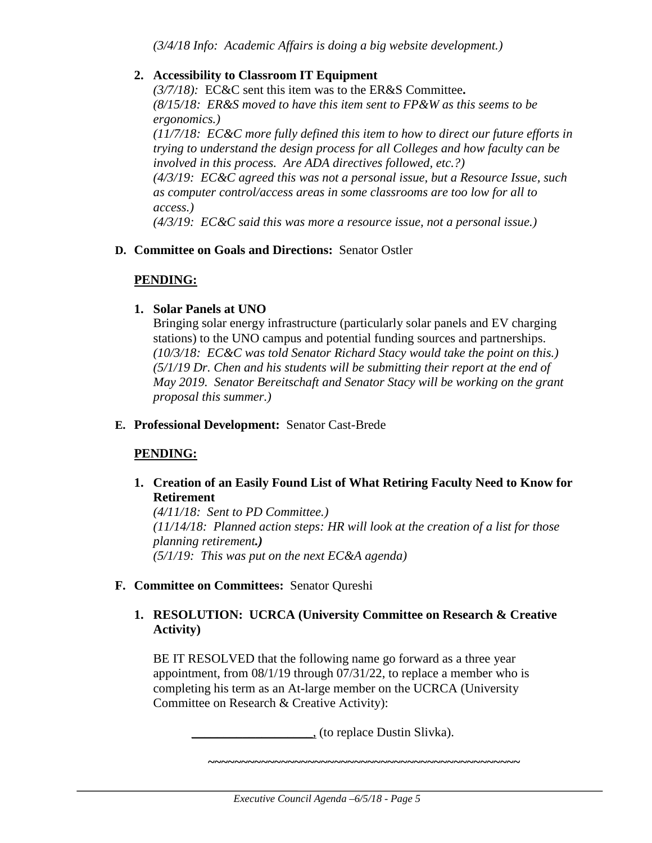*(3/4/18 Info: Academic Affairs is doing a big website development.)*

### **2. Accessibility to Classroom IT Equipment**

*(3/7/18):* EC&C sent this item was to the ER&S Committee**.**  *(8/15/18: ER&S moved to have this item sent to FP&W as this seems to be ergonomics.)* 

*(11/7/18: EC&C more fully defined this item to how to direct our future efforts in trying to understand the design process for all Colleges and how faculty can be involved in this process. Are ADA directives followed, etc.?) (4/3/19: EC&C agreed this was not a personal issue, but a Resource Issue, such as computer control/access areas in some classrooms are too low for all to access.)*

*(4/3/19: EC&C said this was more a resource issue, not a personal issue.)* 

## **D. Committee on Goals and Directions:** Senator Ostler

#### **PENDING:**

#### **1. Solar Panels at UNO**

Bringing solar energy infrastructure (particularly solar panels and EV charging stations) to the UNO campus and potential funding sources and partnerships. *(10/3/18: EC&C was told Senator Richard Stacy would take the point on this.) (5/1/19 Dr. Chen and his students will be submitting their report at the end of May 2019. Senator Bereitschaft and Senator Stacy will be working on the grant proposal this summer.)*

### **E. Professional Development:** Senator Cast-Brede

## **PENDING:**

**1. Creation of an Easily Found List of What Retiring Faculty Need to Know for Retirement**

*(4/11/18: Sent to PD Committee.) (11/14/18: Planned action steps: HR will look at the creation of a list for those planning retirement.) (5/1/19: This was put on the next EC&A agenda)*

## **F. Committee on Committees:** Senator Qureshi

## **1. RESOLUTION: UCRCA (University Committee on Research & Creative Activity)**

BE IT RESOLVED that the following name go forward as a three year appointment, from 08/1/19 through 07/31/22, to replace a member who is completing his term as an At-large member on the UCRCA (University Committee on Research & Creative Activity):

\_\_\_\_\_\_\_\_\_\_\_\_\_\_\_\_\_\_\_, (to replace Dustin Slivka).

**~~~~~~~~~~~~~~~~~~~~~~~~~~~~~~~~~~~~~~~~~~~~~~~**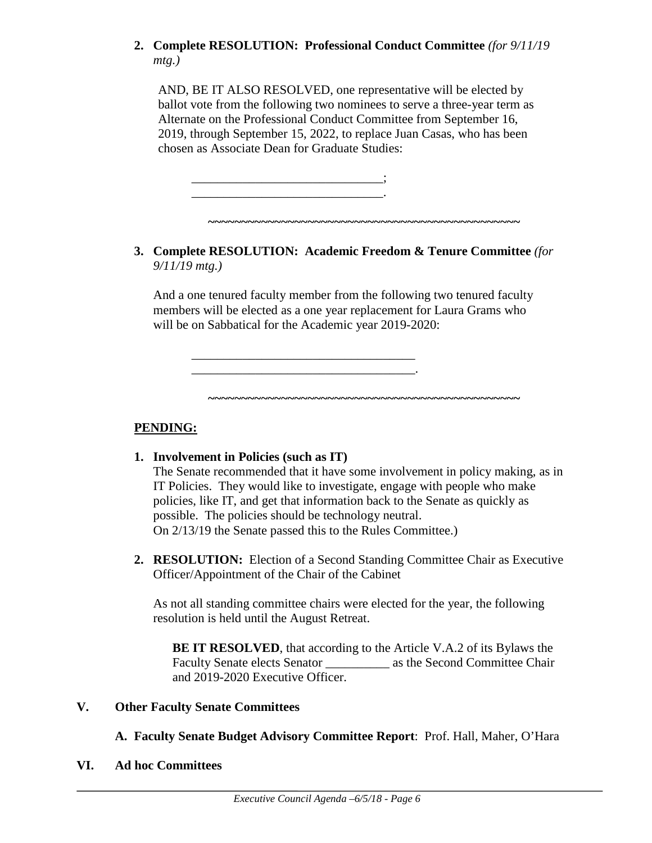# **2. Complete RESOLUTION: Professional Conduct Committee** *(for 9/11/19 mtg.)*

AND, BE IT ALSO RESOLVED, one representative will be elected by ballot vote from the following two nominees to serve a three-year term as Alternate on the Professional Conduct Committee from September 16, 2019, through September 15, 2022, to replace Juan Casas, who has been chosen as Associate Dean for Graduate Studies:

\_\_\_\_\_\_\_\_\_\_\_\_\_\_\_\_\_\_\_\_\_\_\_\_\_\_\_\_\_\_; \_\_\_\_\_\_\_\_\_\_\_\_\_\_\_\_\_\_\_\_\_\_\_\_\_\_\_\_\_\_.

\_\_\_\_\_\_\_\_\_\_\_\_\_\_\_\_\_\_\_\_\_\_\_\_\_\_\_\_\_\_\_\_\_\_\_ \_\_\_\_\_\_\_\_\_\_\_\_\_\_\_\_\_\_\_\_\_\_\_\_\_\_\_\_\_\_\_\_\_\_\_.

**3. Complete RESOLUTION: Academic Freedom & Tenure Committee** *(for 9/11/19 mtg.)*

**~~~~~~~~~~~~~~~~~~~~~~~~~~~~~~~~~~~~~~~~~~~~~~~**

And a one tenured faculty member from the following two tenured faculty members will be elected as a one year replacement for Laura Grams who will be on Sabbatical for the Academic year 2019-2020:

**PENDING:**

**1. Involvement in Policies (such as IT)**

The Senate recommended that it have some involvement in policy making, as in IT Policies. They would like to investigate, engage with people who make policies, like IT, and get that information back to the Senate as quickly as possible. The policies should be technology neutral. On 2/13/19 the Senate passed this to the Rules Committee.)

**~~~~~~~~~~~~~~~~~~~~~~~~~~~~~~~~~~~~~~~~~~~~~~~**

**2. RESOLUTION:** Election of a Second Standing Committee Chair as Executive Officer/Appointment of the Chair of the Cabinet

As not all standing committee chairs were elected for the year, the following resolution is held until the August Retreat.

**BE IT RESOLVED**, that according to the Article V.A.2 of its Bylaws the Faculty Senate elects Senator as the Second Committee Chair and 2019-2020 Executive Officer.

#### **V. Other Faculty Senate Committees**

**A. Faculty Senate Budget Advisory Committee Report**: Prof. Hall, Maher, O'Hara

**VI. Ad hoc Committees**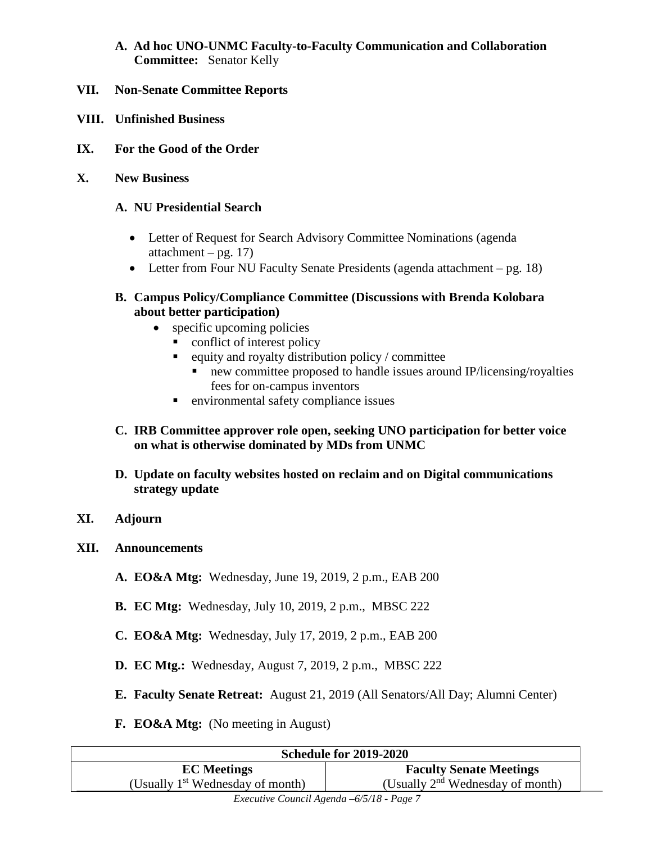## **A. Ad hoc UNO-UNMC Faculty-to-Faculty Communication and Collaboration Committee:** Senator Kelly

- **VII. Non-Senate Committee Reports**
- **VIII. Unfinished Business**
- **IX. For the Good of the Order**
- **X. New Business**

#### **A. NU Presidential Search**

- Letter of Request for Search Advisory Committee Nominations (agenda) attachment – pg.  $17$ )
- Letter from Four NU Faculty Senate Presidents (agenda attachment pg. 18)

#### **B. Campus Policy/Compliance Committee (Discussions with Brenda Kolobara about better participation)**

- specific upcoming policies
	- conflict of interest policy
	- $\blacksquare$  equity and royalty distribution policy / committee
		- new committee proposed to handle issues around IP/licensing/royalties fees for on-campus inventors
	- environmental safety compliance issues
- **C. IRB Committee approver role open, seeking UNO participation for better voice on what is otherwise dominated by MDs from UNMC**
- **D. Update on faculty websites hosted on reclaim and on Digital communications strategy update**
- **XI. Adjourn**
- **XII. Announcements**
	- **A. EO&A Mtg:** Wednesday, June 19, 2019, 2 p.m., EAB 200
	- **B. EC Mtg:** Wednesday, July 10, 2019, 2 p.m., MBSC 222
	- **C. EO&A Mtg:** Wednesday, July 17, 2019, 2 p.m., EAB 200
	- **D. EC Mtg.:** Wednesday, August 7, 2019, 2 p.m., MBSC 222
	- **E. Faculty Senate Retreat:** August 21, 2019 (All Senators/All Day; Alumni Center)
	- **F. EO&A Mtg:** (No meeting in August)

| <b>Schedule for 2019-2020</b>      |                                             |  |  |  |  |
|------------------------------------|---------------------------------------------|--|--|--|--|
| <b>EC</b> Meetings                 | <b>Faculty Senate Meetings</b>              |  |  |  |  |
| (Usually $1st$ Wednesday of month) | (Usually $2^{nd}$ Wednesday of month)       |  |  |  |  |
|                                    | $\epsilon$ $\epsilon$ $\epsilon$ $\epsilon$ |  |  |  |  |